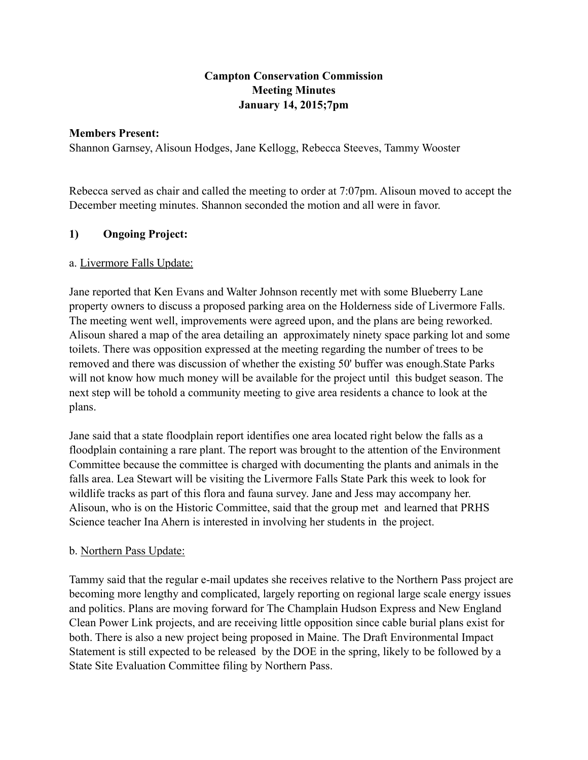# **Campton Conservation Commission Meeting Minutes January 14, 2015;7pm**

#### **Members Present:**

Shannon Garnsey, Alisoun Hodges, Jane Kellogg, Rebecca Steeves, Tammy Wooster

Rebecca served as chair and called the meeting to order at 7:07pm. Alisoun moved to accept the December meeting minutes. Shannon seconded the motion and all were in favor.

# **1) Ongoing Project:**

# a. Livermore Falls Update:

Jane reported that Ken Evans and Walter Johnson recently met with some Blueberry Lane property owners to discuss a proposed parking area on the Holderness side of Livermore Falls. The meeting went well, improvements were agreed upon, and the plans are being reworked. Alisoun shared a map of the area detailing an approximately ninety space parking lot and some toilets. There was opposition expressed at the meeting regarding the number of trees to be removed and there was discussion of whether the existing 50' buffer was enough.State Parks will not know how much money will be available for the project until this budget season. The next step will be tohold a community meeting to give area residents a chance to look at the plans.

Jane said that a state floodplain report identifies one area located right below the falls as a floodplain containing a rare plant. The report was brought to the attention of the Environment Committee because the committee is charged with documenting the plants and animals in the falls area. Lea Stewart will be visiting the Livermore Falls State Park this week to look for wildlife tracks as part of this flora and fauna survey. Jane and Jess may accompany her. Alisoun, who is on the Historic Committee, said that the group met and learned that PRHS Science teacher Ina Ahern is interested in involving her students in the project.

# b. Northern Pass Update:

Tammy said that the regular e-mail updates she receives relative to the Northern Pass project are becoming more lengthy and complicated, largely reporting on regional large scale energy issues and politics. Plans are moving forward for The Champlain Hudson Express and New England Clean Power Link projects, and are receiving little opposition since cable burial plans exist for both. There is also a new project being proposed in Maine. The Draft Environmental Impact Statement is still expected to be released by the DOE in the spring, likely to be followed by a State Site Evaluation Committee filing by Northern Pass.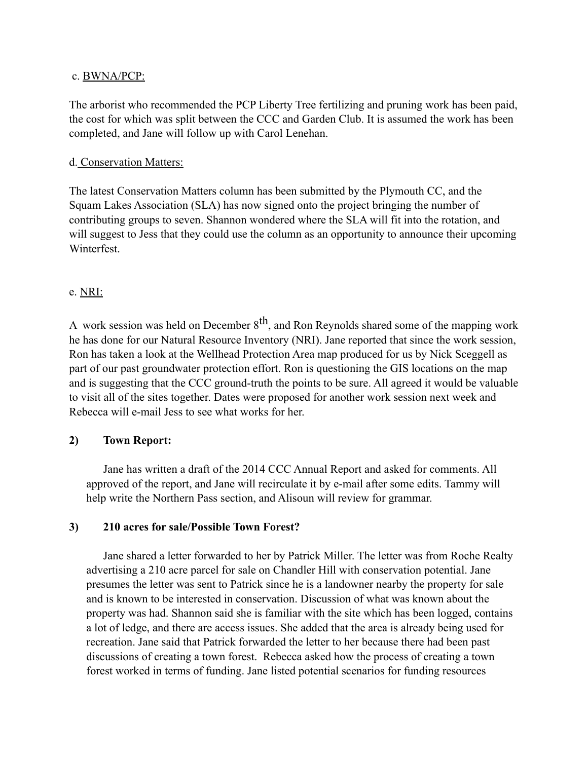#### c. BWNA/PCP:

The arborist who recommended the PCP Liberty Tree fertilizing and pruning work has been paid, the cost for which was split between the CCC and Garden Club. It is assumed the work has been completed, and Jane will follow up with Carol Lenehan.

# d. Conservation Matters:

The latest Conservation Matters column has been submitted by the Plymouth CC, and the Squam Lakes Association (SLA) has now signed onto the project bringing the number of contributing groups to seven. Shannon wondered where the SLA will fit into the rotation, and will suggest to Jess that they could use the column as an opportunity to announce their upcoming Winterfest.

# e. NRI:

A work session was held on December  $8<sup>th</sup>$ , and Ron Reynolds shared some of the mapping work he has done for our Natural Resource Inventory (NRI). Jane reported that since the work session, Ron has taken a look at the Wellhead Protection Area map produced for us by Nick Sceggell as part of our past groundwater protection effort. Ron is questioning the GIS locations on the map and is suggesting that the CCC ground-truth the points to be sure. All agreed it would be valuable to visit all of the sites together. Dates were proposed for another work session next week and Rebecca will e-mail Jess to see what works for her.

# **2) Town Report:**

Jane has written a draft of the 2014 CCC Annual Report and asked for comments. All approved of the report, and Jane will recirculate it by e-mail after some edits. Tammy will help write the Northern Pass section, and Alisoun will review for grammar.

# **3) 210 acres for sale/Possible Town Forest?**

Jane shared a letter forwarded to her by Patrick Miller. The letter was from Roche Realty advertising a 210 acre parcel for sale on Chandler Hill with conservation potential. Jane presumes the letter was sent to Patrick since he is a landowner nearby the property for sale and is known to be interested in conservation. Discussion of what was known about the property was had. Shannon said she is familiar with the site which has been logged, contains a lot of ledge, and there are access issues. She added that the area is already being used for recreation. Jane said that Patrick forwarded the letter to her because there had been past discussions of creating a town forest. Rebecca asked how the process of creating a town forest worked in terms of funding. Jane listed potential scenarios for funding resources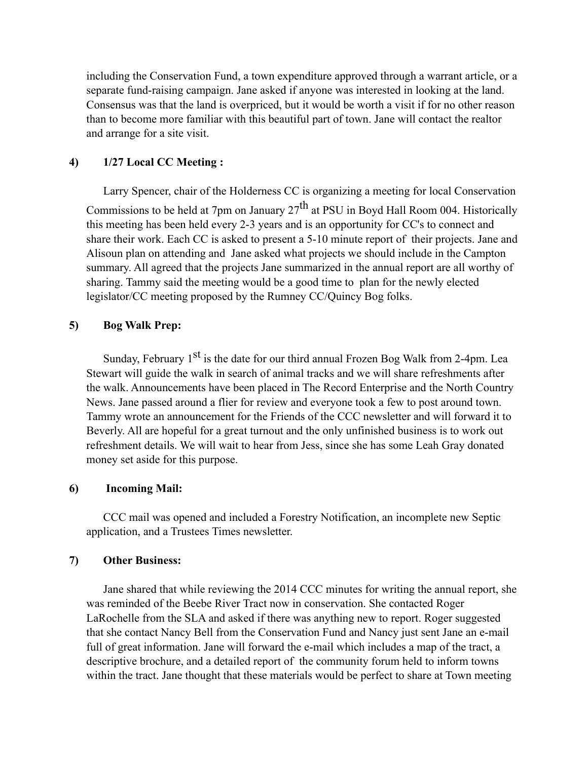including the Conservation Fund, a town expenditure approved through a warrant article, or a separate fund-raising campaign. Jane asked if anyone was interested in looking at the land. Consensus was that the land is overpriced, but it would be worth a visit if for no other reason than to become more familiar with this beautiful part of town. Jane will contact the realtor and arrange for a site visit.

#### **4) 1/27 Local CC Meeting :**

Larry Spencer, chair of the Holderness CC is organizing a meeting for local Conservation Commissions to be held at 7pm on January  $27<sup>th</sup>$  at PSU in Boyd Hall Room 004. Historically this meeting has been held every 2-3 years and is an opportunity for CC's to connect and share their work. Each CC is asked to present a 5-10 minute report of their projects. Jane and Alisoun plan on attending and Jane asked what projects we should include in the Campton summary. All agreed that the projects Jane summarized in the annual report are all worthy of sharing. Tammy said the meeting would be a good time to plan for the newly elected legislator/CC meeting proposed by the Rumney CC/Quincy Bog folks.

#### **5) Bog Walk Prep:**

Sunday, February  $1<sup>st</sup>$  is the date for our third annual Frozen Bog Walk from 2-4pm. Lea Stewart will guide the walk in search of animal tracks and we will share refreshments after the walk. Announcements have been placed in The Record Enterprise and the North Country News. Jane passed around a flier for review and everyone took a few to post around town. Tammy wrote an announcement for the Friends of the CCC newsletter and will forward it to Beverly. All are hopeful for a great turnout and the only unfinished business is to work out refreshment details. We will wait to hear from Jess, since she has some Leah Gray donated money set aside for this purpose.

#### **6) Incoming Mail:**

CCC mail was opened and included a Forestry Notification, an incomplete new Septic application, and a Trustees Times newsletter.

# **7) Other Business:**

Jane shared that while reviewing the 2014 CCC minutes for writing the annual report, she was reminded of the Beebe River Tract now in conservation. She contacted Roger LaRochelle from the SLA and asked if there was anything new to report. Roger suggested that she contact Nancy Bell from the Conservation Fund and Nancy just sent Jane an e-mail full of great information. Jane will forward the e-mail which includes a map of the tract, a descriptive brochure, and a detailed report of the community forum held to inform towns within the tract. Jane thought that these materials would be perfect to share at Town meeting